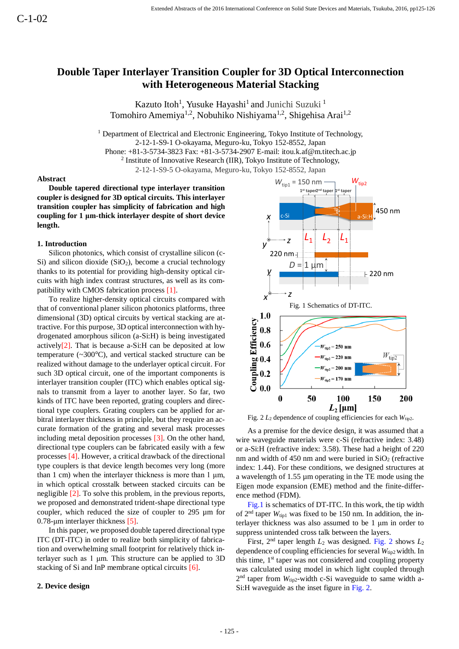# **Double Taper Interlayer Transition Coupler for 3D Optical Interconnection with Heterogeneous Material Stacking**

Kazuto Itoh<sup>1</sup>, Yusuke Hayashi<sup>1</sup> and Junichi Suzuki<sup>1</sup> Tomohiro Amemiya<sup>1,2</sup>, Nobuhiko Nishiyama<sup>1,2</sup>, Shigehisa Arai<sup>1,2</sup>

<sup>1</sup> Department of Electrical and Electronic Engineering, Tokyo Institute of Technology, 2-12-1-S9-1 O-okayama, Meguro-ku, Tokyo 152-8552, Japan Phone: +81-3-5734-3823 Fax: +81-3-5734-2907 E-mail: itou.k.af@m.titech.ac.jp <sup>2</sup> Institute of Innovative Research (IIR), Tokyo Institute of Technology, 2-12-1-S9-5 O-okayama, Meguro-ku, Tokyo 152-8552, Japan

### **Abstract**

**Double tapered directional type interlayer transition coupler is designed for 3D optical circuits. This interlayer transition coupler has simplicity of fabrication and high coupling for 1 μm-thick interlayer despite of short device length.**

# **1. Introduction**

Silicon photonics, which consist of crystalline silicon (c-Si) and silicon dioxide  $(SiO<sub>2</sub>)$ , become a crucial technology thanks to its potential for providing high-density optical circuits with high index contrast structures, as well as its compatibility with CMOS fabrication process [1].

To realize higher-density optical circuits compared with that of conventional planer silicon photonics platforms, three dimensional (3D) optical circuits by vertical stacking are attractive. For this purpose, 3D optical interconnection with hydrogenated amorphous silicon (a-Si:H) is being investigated actively<sup>[2]</sup>. That is because a-Si:H can be deposited at low temperature (~300°C), and vertical stacked structure can be realized without damage to the underlayer optical circuit. For such 3D optical circuit, one of the important components is interlayer transition coupler (ITC) which enables optical signals to transmit from a layer to another layer. So far, two kinds of ITC have been reported, grating couplers and directional type couplers. Grating couplers can be applied for arbitral interlayer thickness in principle, but they require an accurate formation of the grating and several mask processes including metal deposition processes [3]. On the other hand, directional type couplers can be fabricated easily with a few processes [4]. However, a critical drawback of the directional type couplers is that device length becomes very long (more than 1 cm) when the interlayer thickness is more than 1  $\mu$ m, in which optical crosstalk between stacked circuits can be negligible [2]. To solve this problem, in the previous reports, we proposed and demonstrated trident-shape directional type coupler, which reduced the size of coupler to 295 µm for 0.78-μm interlayer thickness [5].

In this paper, we proposed double tapered directional type ITC (DT-ITC) in order to realize both simplicity of fabrication and overwhelming small footprint for relatively thick interlayer such as 1 μm. This structure can be applied to 3D stacking of Si and InP membrane optical circuits [6].

# **2. Device design**



Fig.  $2 L_2$  dependence of coupling efficiencies for each  $W_{\text{tip2}}$ .

As a premise for the device design, it was assumed that a wire waveguide materials were c-Si (refractive index: 3.48) or a-Si:H (refractive index: 3.58). These had a height of 220 nm and width of 450 nm and were buried in  $SiO<sub>2</sub>$  (refractive index: 1.44). For these conditions, we designed structures at a wavelength of 1.55 µm operating in the TE mode using the Eigen mode expansion (EME) method and the finite-difference method (FDM).

Fig.1 is schematics of DT-ITC. In this work, the tip width of  $2<sup>nd</sup>$  taper  $W<sub>tip1</sub>$  was fixed to be 150 nm. In addition, the interlayer thickness was also assumed to be 1 μm in order to suppress unintended cross talk between the layers.

First, 2<sup>nd</sup> taper length  $L_2$  was designed. Fig. 2 shows  $L_2$ dependence of coupling efficiencies for several  $W_{\text{tip2}}$  width. In this time, 1<sup>st</sup> taper was not considered and coupling property was calculated using model in which light coupled through 2<sup>nd</sup> taper from W<sub>tip2</sub>-width c-Si waveguide to same width a-Si:H waveguide as the inset figure in Fig. 2.